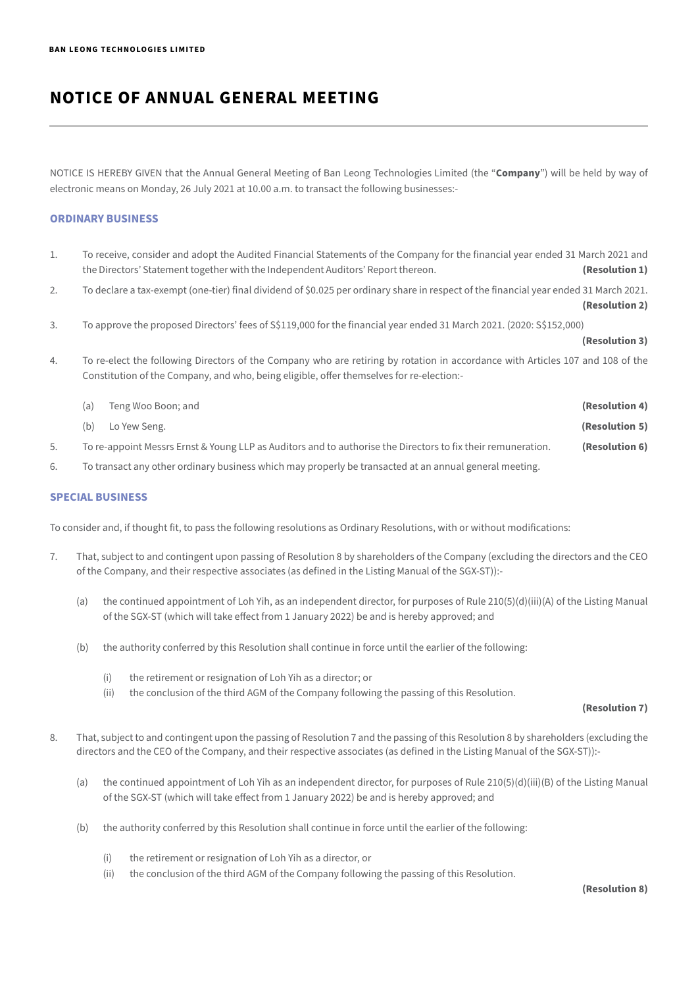NOTICE IS HEREBY GIVEN that the Annual General Meeting of Ban Leong Technologies Limited (the "**Company**") will be held by way of electronic means on Monday, 26 July 2021 at 10.00 a.m. to transact the following businesses:-

## **ORDINARY BUSINESS**

- 1. To receive, consider and adopt the Audited Financial Statements of the Company for the financial year ended 31 March 2021 and the Directors' Statement together with the Independent Auditors' Report thereon. **(Resolution 1)**
- 2. To declare a tax-exempt (one-tier) final dividend of \$0.025 per ordinary share in respect of the financial year ended 31 March 2021.
	- **(Resolution 2)**
- 3. To approve the proposed Directors' fees of S\$119,000 for the financial year ended 31 March 2021. (2020: S\$152,000)

### **(Resolution 3)**

4. To re-elect the following Directors of the Company who are retiring by rotation in accordance with Articles 107 and 108 of the Constitution of the Company, and who, being eligible, offer themselves for re-election:-

| (a) | Teng Woo Boon; and                                                                                           | (Resolution 4) |
|-----|--------------------------------------------------------------------------------------------------------------|----------------|
| (b) | Lo Yew Seng.                                                                                                 | (Resolution 5) |
|     | To re-appoint Messrs Ernst & Young LLP as Auditors and to authorise the Directors to fix their remuneration. | (Resolution 6) |

6. To transact any other ordinary business which may properly be transacted at an annual general meeting.

## **SPECIAL BUSINESS**

To consider and, if thought fit, to pass the following resolutions as Ordinary Resolutions, with or without modifications:

- 7. That, subject to and contingent upon passing of Resolution 8 by shareholders of the Company (excluding the directors and the CEO of the Company, and their respective associates (as defined in the Listing Manual of the SGX-ST)):-
	- (a) the continued appointment of Loh Yih, as an independent director, for purposes of Rule 210(5)(d)(iii)(A) of the Listing Manual of the SGX-ST (which will take effect from 1 January 2022) be and is hereby approved; and
	- (b) the authority conferred by this Resolution shall continue in force until the earlier of the following:
		- (i) the retirement or resignation of Loh Yih as a director; or
		- (ii) the conclusion of the third AGM of the Company following the passing of this Resolution.

### **(Resolution 7)**

- 8. That, subject to and contingent upon the passing of Resolution 7 and the passing of this Resolution 8 by shareholders (excluding the directors and the CEO of the Company, and their respective associates (as defined in the Listing Manual of the SGX-ST)):-
	- (a) the continued appointment of Loh Yih as an independent director, for purposes of Rule 210(5)(d)(iii)(B) of the Listing Manual of the SGX-ST (which will take effect from 1 January 2022) be and is hereby approved; and
	- (b) the authority conferred by this Resolution shall continue in force until the earlier of the following:
		- (i) the retirement or resignation of Loh Yih as a director, or
		- (ii) the conclusion of the third AGM of the Company following the passing of this Resolution.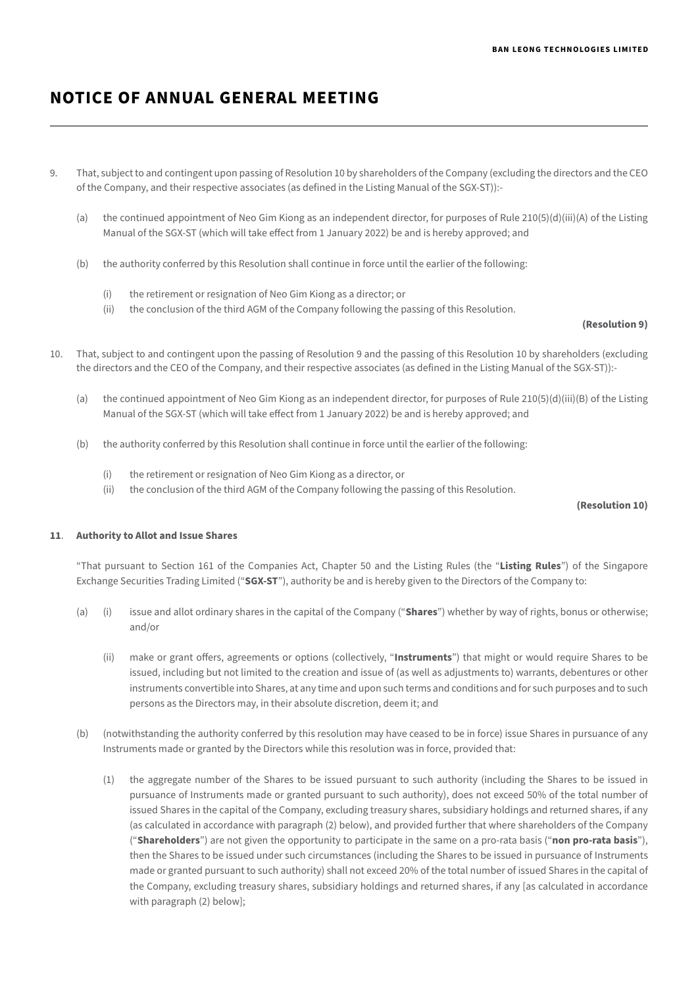- 9. That, subject to and contingent upon passing of Resolution 10 by shareholders of the Company (excluding the directors and the CEO of the Company, and their respective associates (as defined in the Listing Manual of the SGX-ST)):-
	- (a) the continued appointment of Neo Gim Kiong as an independent director, for purposes of Rule 210(5)(d)(iii)(A) of the Listing Manual of the SGX-ST (which will take effect from 1 January 2022) be and is hereby approved; and
	- (b) the authority conferred by this Resolution shall continue in force until the earlier of the following:
		- (i) the retirement or resignation of Neo Gim Kiong as a director; or
		- (ii) the conclusion of the third AGM of the Company following the passing of this Resolution.

### **(Resolution 9)**

- 10. That, subject to and contingent upon the passing of Resolution 9 and the passing of this Resolution 10 by shareholders (excluding the directors and the CEO of the Company, and their respective associates (as defined in the Listing Manual of the SGX-ST)):-
	- (a) the continued appointment of Neo Gim Kiong as an independent director, for purposes of Rule 210(5)(d)(iii)(B) of the Listing Manual of the SGX-ST (which will take effect from 1 January 2022) be and is hereby approved; and
	- (b) the authority conferred by this Resolution shall continue in force until the earlier of the following:
		- (i) the retirement or resignation of Neo Gim Kiong as a director, or
		- (ii) the conclusion of the third AGM of the Company following the passing of this Resolution.

### **(Resolution 10)**

### **11**. **Authority to Allot and Issue Shares**

"That pursuant to Section 161 of the Companies Act, Chapter 50 and the Listing Rules (the "**Listing Rules**") of the Singapore Exchange Securities Trading Limited ("**SGX-ST**"), authority be and is hereby given to the Directors of the Company to:

- (a) (i) issue and allot ordinary shares in the capital of the Company ("**Shares**") whether by way of rights, bonus or otherwise; and/or
	- (ii) make or grant offers, agreements or options (collectively, "**Instruments**") that might or would require Shares to be issued, including but not limited to the creation and issue of (as well as adjustments to) warrants, debentures or other instruments convertible into Shares, at any time and upon such terms and conditions and for such purposes and to such persons as the Directors may, in their absolute discretion, deem it; and
- (b) (notwithstanding the authority conferred by this resolution may have ceased to be in force) issue Shares in pursuance of any Instruments made or granted by the Directors while this resolution was in force, provided that:
	- (1) the aggregate number of the Shares to be issued pursuant to such authority (including the Shares to be issued in pursuance of Instruments made or granted pursuant to such authority), does not exceed 50% of the total number of issued Shares in the capital of the Company, excluding treasury shares, subsidiary holdings and returned shares, if any (as calculated in accordance with paragraph (2) below), and provided further that where shareholders of the Company ("**Shareholders**") are not given the opportunity to participate in the same on a pro-rata basis ("**non pro-rata basis**"), then the Shares to be issued under such circumstances (including the Shares to be issued in pursuance of Instruments made or granted pursuant to such authority) shall not exceed 20% of the total number of issued Shares in the capital of the Company, excluding treasury shares, subsidiary holdings and returned shares, if any [as calculated in accordance with paragraph (2) below];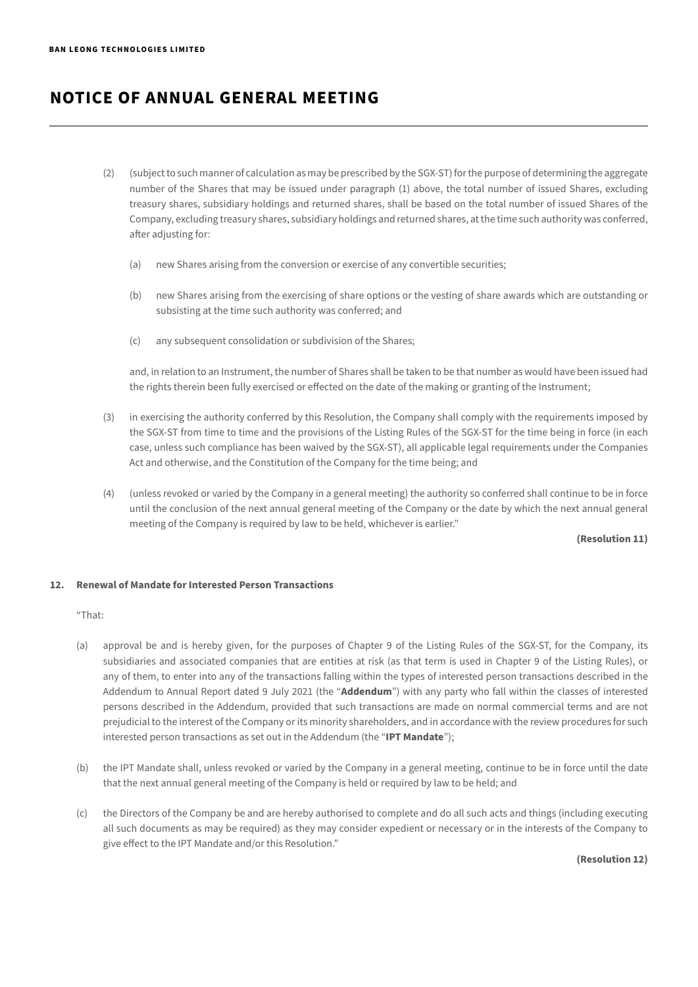- (2) (subject to such manner of calculation as may be prescribed by the SGX-ST) for the purpose of determining the aggregate number of the Shares that may be issued under paragraph (1) above, the total number of issued Shares, excluding treasury shares, subsidiary holdings and returned shares, shall be based on the total number of issued Shares of the Company, excluding treasury shares, subsidiary holdings and returned shares, at the time such authority was conferred, after adjusting for:
	- (a) new Shares arising from the conversion or exercise of any convertible securities;
	- (b) new Shares arising from the exercising of share options or the vesting of share awards which are outstanding or subsisting at the time such authority was conferred; and
	- (c) any subsequent consolidation or subdivision of the Shares;

and, in relation to an Instrument, the number of Shares shall be taken to be that number as would have been issued had the rights therein been fully exercised or effected on the date of the making or granting of the Instrument;

- (3) in exercising the authority conferred by this Resolution, the Company shall comply with the requirements imposed by the SGX-ST from time to time and the provisions of the Listing Rules of the SGX-ST for the time being in force (in each case, unless such compliance has been waived by the SGX-ST), all applicable legal requirements under the Companies Act and otherwise, and the Constitution of the Company for the time being; and
- (4) (unless revoked or varied by the Company in a general meeting) the authority so conferred shall continue to be in force until the conclusion of the next annual general meeting of the Company or the date by which the next annual general meeting of the Company is required by law to be held, whichever is earlier."

**(Resolution 11)**

## **12. Renewal of Mandate for Interested Person Transactions**

"That:

- (a) approval be and is hereby given, for the purposes of Chapter 9 of the Listing Rules of the SGX-ST, for the Company, its subsidiaries and associated companies that are entities at risk (as that term is used in Chapter 9 of the Listing Rules), or any of them, to enter into any of the transactions falling within the types of interested person transactions described in the Addendum to Annual Report dated 9 July 2021 (the "**Addendum**") with any party who fall within the classes of interested persons described in the Addendum, provided that such transactions are made on normal commercial terms and are not prejudicial to the interest of the Company or its minority shareholders, and in accordance with the review procedures for such interested person transactions as set out in the Addendum (the "**IPT Mandate**");
- (b) the IPT Mandate shall, unless revoked or varied by the Company in a general meeting, continue to be in force until the date that the next annual general meeting of the Company is held or required by law to be held; and
- (c) the Directors of the Company be and are hereby authorised to complete and do all such acts and things (including executing all such documents as may be required) as they may consider expedient or necessary or in the interests of the Company to give effect to the IPT Mandate and/or this Resolution."

 **(Resolution 12)**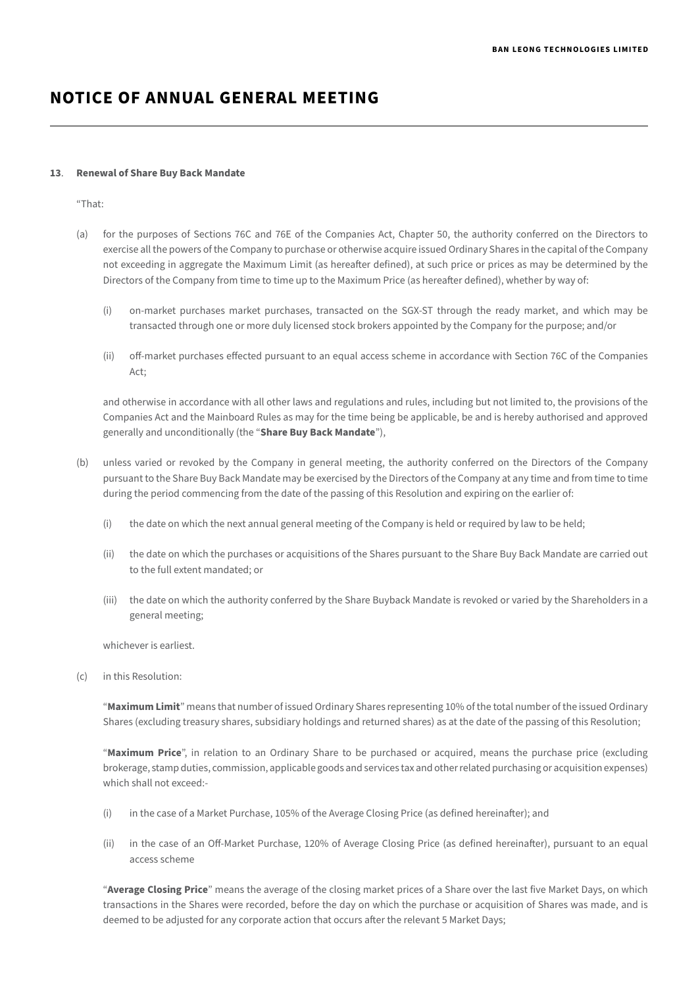### **13**. **Renewal of Share Buy Back Mandate**

"That:

- (a) for the purposes of Sections 76C and 76E of the Companies Act, Chapter 50, the authority conferred on the Directors to exercise all the powers of the Company to purchase or otherwise acquire issued Ordinary Shares in the capital of the Company not exceeding in aggregate the Maximum Limit (as hereafter defined), at such price or prices as may be determined by the Directors of the Company from time to time up to the Maximum Price (as hereafter defined), whether by way of:
	- (i) on-market purchases market purchases, transacted on the SGX-ST through the ready market, and which may be transacted through one or more duly licensed stock brokers appointed by the Company for the purpose; and/or
	- (ii) off-market purchases effected pursuant to an equal access scheme in accordance with Section 76C of the Companies Act;

and otherwise in accordance with all other laws and regulations and rules, including but not limited to, the provisions of the Companies Act and the Mainboard Rules as may for the time being be applicable, be and is hereby authorised and approved generally and unconditionally (the "**Share Buy Back Mandate**"),

- (b) unless varied or revoked by the Company in general meeting, the authority conferred on the Directors of the Company pursuant to the Share Buy Back Mandate may be exercised by the Directors of the Company at any time and from time to time during the period commencing from the date of the passing of this Resolution and expiring on the earlier of:
	- (i) the date on which the next annual general meeting of the Company is held or required by law to be held;
	- (ii) the date on which the purchases or acquisitions of the Shares pursuant to the Share Buy Back Mandate are carried out to the full extent mandated; or
	- (iii) the date on which the authority conferred by the Share Buyback Mandate is revoked or varied by the Shareholders in a general meeting;

whichever is earliest.

(c) in this Resolution:

"**Maximum Limit**" means that number of issued Ordinary Shares representing 10% of the total number of the issued Ordinary Shares (excluding treasury shares, subsidiary holdings and returned shares) as at the date of the passing of this Resolution;

"**Maximum Price**", in relation to an Ordinary Share to be purchased or acquired, means the purchase price (excluding brokerage, stamp duties, commission, applicable goods and services tax and other related purchasing or acquisition expenses) which shall not exceed:-

- (i) in the case of a Market Purchase, 105% of the Average Closing Price (as defined hereinafter); and
- (ii) in the case of an Off-Market Purchase, 120% of Average Closing Price (as defined hereinafter), pursuant to an equal access scheme

"**Average Closing Price**" means the average of the closing market prices of a Share over the last five Market Days, on which transactions in the Shares were recorded, before the day on which the purchase or acquisition of Shares was made, and is deemed to be adjusted for any corporate action that occurs after the relevant 5 Market Days;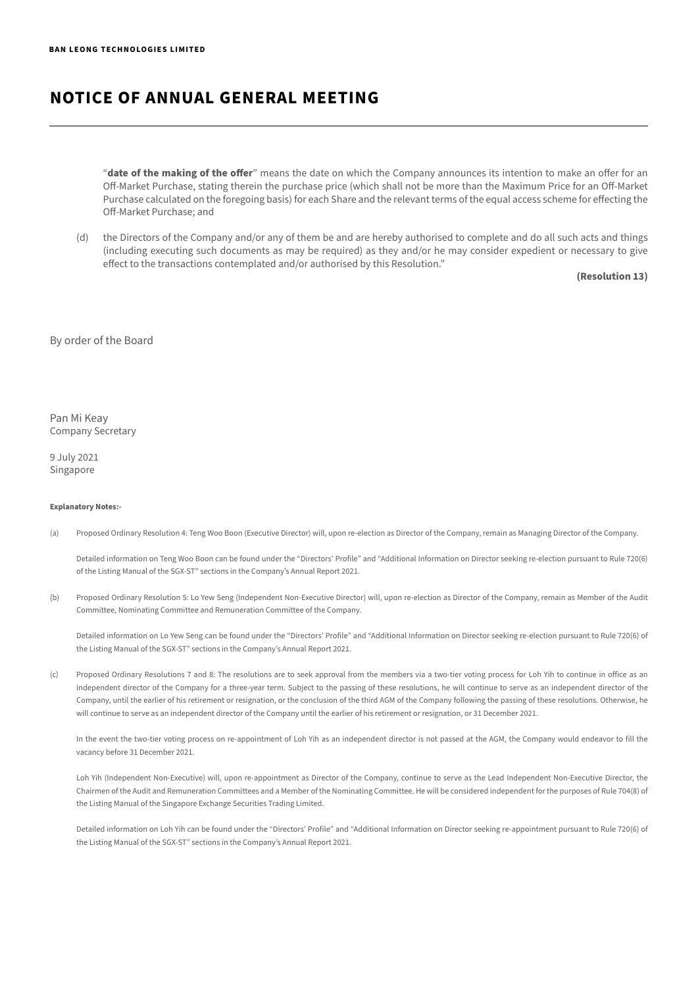"**date of the making of the offer**" means the date on which the Company announces its intention to make an offer for an Off-Market Purchase, stating therein the purchase price (which shall not be more than the Maximum Price for an Off-Market Purchase calculated on the foregoing basis) for each Share and the relevant terms of the equal access scheme for effecting the Off-Market Purchase; and

(d) the Directors of the Company and/or any of them be and are hereby authorised to complete and do all such acts and things (including executing such documents as may be required) as they and/or he may consider expedient or necessary to give effect to the transactions contemplated and/or authorised by this Resolution."

**(Resolution 13)**

### By order of the Board

Pan Mi Keay Company Secretary

9 July 2021 Singapore

#### **Explanatory Notes:-**

(a) Proposed Ordinary Resolution 4: Teng Woo Boon (Executive Director) will, upon re-election as Director of the Company, remain as Managing Director of the Company.

Detailed information on Teng Woo Boon can be found under the "Directors' Profile" and "Additional Information on Director seeking re-election pursuant to Rule 720(6) of the Listing Manual of the SGX-ST" sections in the Company's Annual Report 2021.

(b) Proposed Ordinary Resolution 5: Lo Yew Seng (Independent Non-Executive Director) will, upon re-election as Director of the Company, remain as Member of the Audit Committee, Nominating Committee and Remuneration Committee of the Company.

Detailed information on Lo Yew Seng can be found under the "Directors' Profile" and "Additional Information on Director seeking re-election pursuant to Rule 720(6) of the Listing Manual of the SGX-ST" sections in the Company's Annual Report 2021.

(c) Proposed Ordinary Resolutions 7 and 8: The resolutions are to seek approval from the members via a two-tier voting process for Loh Yih to continue in office as an independent director of the Company for a three-year term. Subject to the passing of these resolutions, he will continue to serve as an independent director of the Company, until the earlier of his retirement or resignation, or the conclusion of the third AGM of the Company following the passing of these resolutions. Otherwise, he will continue to serve as an independent director of the Company until the earlier of his retirement or resignation, or 31 December 2021.

In the event the two-tier voting process on re-appointment of Loh Yih as an independent director is not passed at the AGM, the Company would endeavor to fill the vacancy before 31 December 2021.

Loh Yih (Independent Non-Executive) will, upon re-appointment as Director of the Company, continue to serve as the Lead Independent Non-Executive Director, the Chairmen of the Audit and Remuneration Committees and a Member of the Nominating Committee. He will be considered independent for the purposes of Rule 704(8) of the Listing Manual of the Singapore Exchange Securities Trading Limited.

Detailed information on Loh Yih can be found under the "Directors' Profile" and "Additional Information on Director seeking re-appointment pursuant to Rule 720(6) of the Listing Manual of the SGX-ST" sections in the Company's Annual Report 2021.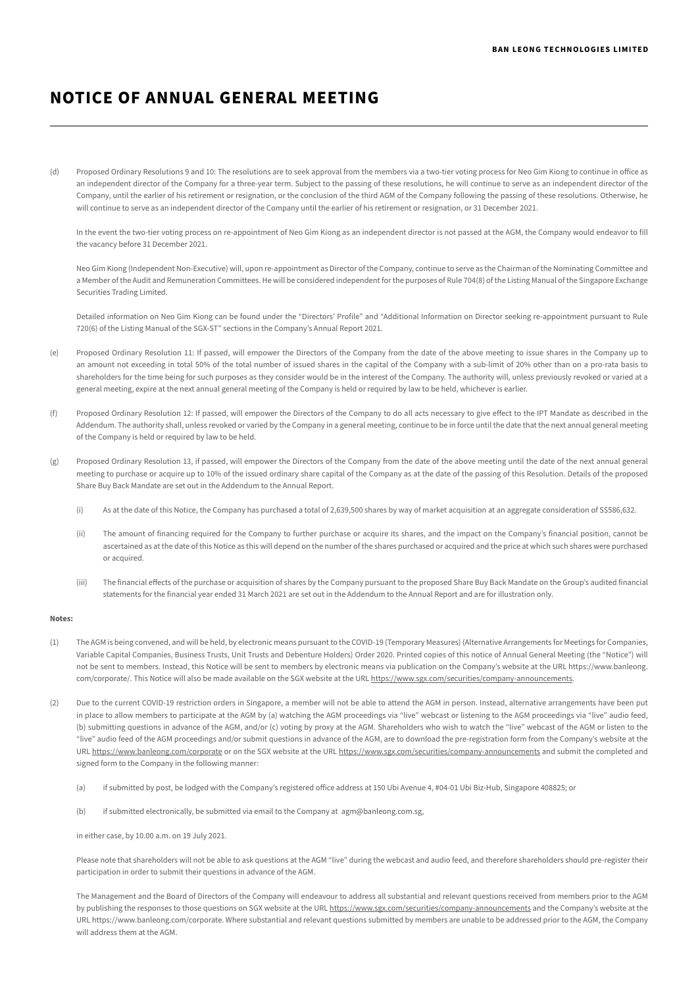(d) Proposed Ordinary Resolutions 9 and 10: The resolutions are to seek approval from the members via a two-tier voting process for Neo Gim Kiong to continue in office as an independent director of the Company for a three-year term. Subject to the passing of these resolutions, he will continue to serve as an independent director of the Company, until the earlier of his retirement or resignation, or the conclusion of the third AGM of the Company following the passing of these resolutions. Otherwise, he will continue to serve as an independent director of the Company until the earlier of his retirement or resignation, or 31 December 2021.

In the event the two-tier voting process on re-appointment of Neo Gim Kiong as an independent director is not passed at the AGM, the Company would endeavor to fill the vacancy before 31 December 2021.

Neo Gim Kiong (Independent Non-Executive) will, upon re-appointment as Director of the Company, continue to serve as the Chairman of the Nominating Committee and a Member of the Audit and Remuneration Committees. He will be considered independent for the purposes of Rule 704(8) of the Listing Manual of the Singapore Exchange Securities Trading Limited.

Detailed information on Neo Gim Kiong can be found under the "Directors' Profile" and "Additional Information on Director seeking re-appointment pursuant to Rule 720(6) of the Listing Manual of the SGX-ST" sections in the Company's Annual Report 2021.

- (e) Proposed Ordinary Resolution 11: If passed, will empower the Directors of the Company from the date of the above meeting to issue shares in the Company up to an amount not exceeding in total 50% of the total number of issued shares in the capital of the Company with a sub-limit of 20% other than on a pro-rata basis to shareholders for the time being for such purposes as they consider would be in the interest of the Company. The authority will, unless previously revoked or varied at a general meeting, expire at the next annual general meeting of the Company is held or required by law to be held, whichever is earlier.
- (f) Proposed Ordinary Resolution 12: If passed, will empower the Directors of the Company to do all acts necessary to give effect to the IPT Mandate as described in the Addendum. The authority shall, unless revoked or varied by the Company in a general meeting, continue to be in force until the date that the next annual general meeting of the Company is held or required by law to be held.
- (g) Proposed Ordinary Resolution 13, if passed, will empower the Directors of the Company from the date of the above meeting until the date of the next annual general meeting to purchase or acquire up to 10% of the issued ordinary share capital of the Company as at the date of the passing of this Resolution. Details of the proposed Share Buy Back Mandate are set out in the Addendum to the Annual Report.
	- (i) As at the date of this Notice, the Company has purchased a total of 2,639,500 shares by way of market acquisition at an aggregate consideration of S\$586,632.
	- (ii) The amount of financing required for the Company to further purchase or acquire its shares, and the impact on the Company's financial position, cannot be ascertained as at the date of this Notice as this will depend on the number of the shares purchased or acquired and the price at which such shares were purchased or acquired.
	- (iii) The financial effects of the purchase or acquisition of shares by the Company pursuant to the proposed Share Buy Back Mandate on the Group's audited financial statements for the financial year ended 31 March 2021 are set out in the Addendum to the Annual Report and are for illustration only.

#### **Notes:**

- (1) The AGM is being convened, and will be held, by electronic means pursuant to the COVID-19 (Temporary Measures) (Alternative Arrangements for Meetings for Companies, Variable Capital Companies, Business Trusts, Unit Trusts and Debenture Holders) Order 2020. Printed copies of this notice of Annual General Meeting (the "Notice") will not be sent to members. Instead, this Notice will be sent to members by electronic means via publication on the Company's website at the URL https://www.banleong. com/corporate/. This Notice will also be made available on the SGX website at the URL <https://www.sgx.com/securities/company-announcements>.
- (2) Due to the current COVID-19 restriction orders in Singapore, a member will not be able to attend the AGM in person. Instead, alternative arrangements have been put in place to allow members to participate at the AGM by (a) watching the AGM proceedings via "live" webcast or listening to the AGM proceedings via "live" audio feed, (b) submitting questions in advance of the AGM, and/or (c) voting by proxy at the AGM. Shareholders who wish to watch the "live" webcast of the AGM or listen to the "live" audio feed of the AGM proceedings and/or submit questions in advance of the AGM, are to download the pre-registration form from the Company's website at the URL [https://www.banleong.com/corporate](https://www.banleong.com/corporate.%3e) or on the SGX website at the URL <https://www.sgx.com/securities/company-announcements>and submit the completed and signed form to the Company in the following manner:
	- (a) if submitted by post, be lodged with the Company's registered office address at 150 Ubi Avenue 4, #04-01 Ubi Biz-Hub, Singapore 408825; or
	- (b) if submitted electronically, be submitted via email to the Company at agm@banleong.com.sg,

in either case, by 10.00 a.m. on 19 July 2021.

Please note that shareholders will not be able to ask questions at the AGM "live" during the webcast and audio feed, and therefore shareholders should pre-register their participation in order to submit their questions in advance of the AGM.

The Management and the Board of Directors of the Company will endeavour to address all substantial and relevant questions received from members prior to the AGM by publishing the responses to those questions on SGX website at the URL<https://www.sgx.com/securities/company-announcements>and the Company's website at the URL https://www.banleong.com/corporate. Where substantial and relevant questions submitted by members are unable to be addressed prior to the AGM, the Company will address them at the AGM.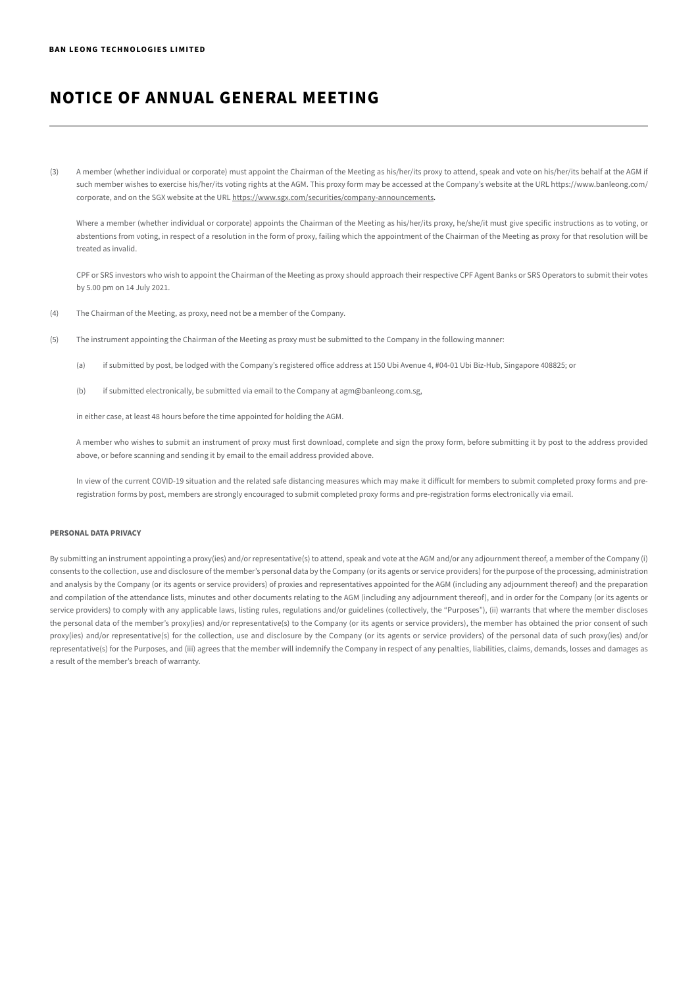(3) A member (whether individual or corporate) must appoint the Chairman of the Meeting as his/her/its proxy to attend, speak and vote on his/her/its behalf at the AGM if such member wishes to exercise his/her/its voting rights at the AGM. This proxy form may be accessed at the Company's website at the URL https://www.banleong.com/ corporate, and on the SGX website at the URL<https://www.sgx.com/securities/company-announcements>.

Where a member (whether individual or corporate) appoints the Chairman of the Meeting as his/her/its proxy, he/she/it must give specific instructions as to voting, or abstentions from voting, in respect of a resolution in the form of proxy, failing which the appointment of the Chairman of the Meeting as proxy for that resolution will be treated as invalid.

CPF or SRS investors who wish to appoint the Chairman of the Meeting as proxy should approach their respective CPF Agent Banks or SRS Operators to submit their votes by 5.00 pm on 14 July 2021.

- (4) The Chairman of the Meeting, as proxy, need not be a member of the Company.
- (5) The instrument appointing the Chairman of the Meeting as proxy must be submitted to the Company in the following manner:
	- (a) if submitted by post, be lodged with the Company's registered office address at 150 Ubi Avenue 4, #04-01 Ubi Biz-Hub, Singapore 408825; or
	- (b) if submitted electronically, be submitted via email to the Company at agm@banleong.com.sg,

in either case, at least 48 hours before the time appointed for holding the AGM.

A member who wishes to submit an instrument of proxy must first download, complete and sign the proxy form, before submitting it by post to the address provided above, or before scanning and sending it by email to the email address provided above.

In view of the current COVID-19 situation and the related safe distancing measures which may make it difficult for members to submit completed proxy forms and preregistration forms by post, members are strongly encouraged to submit completed proxy forms and pre-registration forms electronically via email.

#### **PERSONAL DATA PRIVACY**

By submitting an instrument appointing a proxy(ies) and/or representative(s) to attend, speak and vote at the AGM and/or any adjournment thereof, a member of the Company (i) consents to the collection, use and disclosure of the member's personal data by the Company (or its agents or service providers) for the purpose of the processing, administration and analysis by the Company (or its agents or service providers) of proxies and representatives appointed for the AGM (including any adjournment thereof) and the preparation and compilation of the attendance lists, minutes and other documents relating to the AGM (including any adjournment thereof), and in order for the Company (or its agents or service providers) to comply with any applicable laws, listing rules, regulations and/or guidelines (collectively, the "Purposes"), (ii) warrants that where the member discloses the personal data of the member's proxy(ies) and/or representative(s) to the Company (or its agents or service providers), the member has obtained the prior consent of such proxy(ies) and/or representative(s) for the collection, use and disclosure by the Company (or its agents or service providers) of the personal data of such proxy(ies) and/or representative(s) for the Purposes, and (iii) agrees that the member will indemnify the Company in respect of any penalties, liabilities, claims, demands, losses and damages as a result of the member's breach of warranty.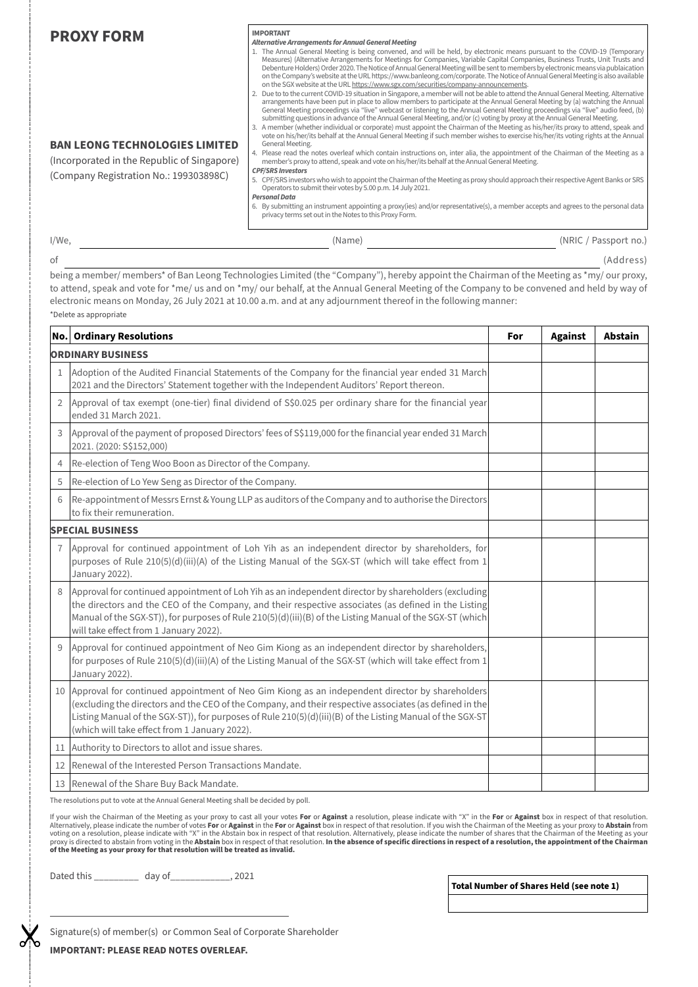| <b>PROXY FORM</b><br><b>BAN LEONG TECHNOLOGIES LIMITED</b><br>(Incorporated in the Republic of Singapore)<br>(Company Registration No.: 199303898C) |                                                                                                                                                                                                                          | <b>IMPORTANT</b><br><b>Alternative Arrangements for Annual General Meeting</b><br>1. The Annual General Meeting is being convened, and will be held, by electronic means pursuant to the COVID-19 (Temporary<br>Measures) (Alternative Arrangements for Meetings for Companies, Variable Capital Companies, Business Trusts, Unit Trusts and<br>Debenture Holders) Order 2020. The Notice of Annual General Meeting will be sent to members by electronic means via publaication<br>on the Company's website at the URL https://www.banleong.com/corporate. The Notice of Annual General Meeting is also available<br>on the SGX website at the URL https://www.sgx.com/securities/company-announcements.<br>2. Due to to the current COVID-19 situation in Singapore, a member will not be able to attend the Annual General Meeting. Alternative<br>arrangements have been put in place to allow members to participate at the Annual General Meeting by (a) watching the Annual<br>General Meeting proceedings via "live" webcast or listening to the Annual General Meeting proceedings via "live" audio feed, (b)<br>submitting questions in advance of the Annual General Meeting, and/or (c) voting by proxy at the Annual General Meeting.<br>3. A member (whether individual or corporate) must appoint the Chairman of the Meeting as his/her/its proxy to attend, speak and<br>vote on his/her/its behalf at the Annual General Meeting if such member wishes to exercise his/her/its voting rights at the Annual<br>General Meeting.<br>4. Please read the notes overleaf which contain instructions on, inter alia, the appointment of the Chairman of the Meeting as a<br>member's proxy to attend, speak and vote on his/her/its behalf at the Annual General Meeting.<br><b>CPF/SRS Investors</b><br>5. CPF/SRS investors who wish to appoint the Chairman of the Meeting as proxy should approach their respective Agent Banks or SRS<br>Operators to submit their votes by 5.00 p.m. 14 July 2021.<br><b>Personal Data</b><br>6. By submitting an instrument appointing a proxy(ies) and/or representative(s), a member accepts and agrees to the personal data<br>privacy terms set out in the Notes to this Proxy Form. |  |                |                |  |
|-----------------------------------------------------------------------------------------------------------------------------------------------------|--------------------------------------------------------------------------------------------------------------------------------------------------------------------------------------------------------------------------|---------------------------------------------------------------------------------------------------------------------------------------------------------------------------------------------------------------------------------------------------------------------------------------------------------------------------------------------------------------------------------------------------------------------------------------------------------------------------------------------------------------------------------------------------------------------------------------------------------------------------------------------------------------------------------------------------------------------------------------------------------------------------------------------------------------------------------------------------------------------------------------------------------------------------------------------------------------------------------------------------------------------------------------------------------------------------------------------------------------------------------------------------------------------------------------------------------------------------------------------------------------------------------------------------------------------------------------------------------------------------------------------------------------------------------------------------------------------------------------------------------------------------------------------------------------------------------------------------------------------------------------------------------------------------------------------------------------------------------------------------------------------------------------------------------------------------------------------------------------------------------------------------------------------------------------------------------------------------------------------------------------------------------------------------------------------------------------------------------------------------------------------------------------------------------------------------------------------------------------------|--|----------------|----------------|--|
| $I/We$ ,                                                                                                                                            |                                                                                                                                                                                                                          | (Name) (Name) (Name) (Name) (Name) (Name) (Name) (NRIC / Passport no.)                                                                                                                                                                                                                                                                                                                                                                                                                                                                                                                                                                                                                                                                                                                                                                                                                                                                                                                                                                                                                                                                                                                                                                                                                                                                                                                                                                                                                                                                                                                                                                                                                                                                                                                                                                                                                                                                                                                                                                                                                                                                                                                                                                      |  |                |                |  |
| οf                                                                                                                                                  |                                                                                                                                                                                                                          |                                                                                                                                                                                                                                                                                                                                                                                                                                                                                                                                                                                                                                                                                                                                                                                                                                                                                                                                                                                                                                                                                                                                                                                                                                                                                                                                                                                                                                                                                                                                                                                                                                                                                                                                                                                                                                                                                                                                                                                                                                                                                                                                                                                                                                             |  |                | (Address)      |  |
|                                                                                                                                                     | *Delete as appropriate                                                                                                                                                                                                   | being a member/ members* of Ban Leong Technologies Limited (the "Company"), hereby appoint the Chairman of the Meeting as *my/ our proxy,<br>to attend, speak and vote for *me/ us and on *my/ our behalf, at the Annual General Meeting of the Company to be convened and held by way of<br>electronic means on Monday, 26 July 2021 at 10.00 a.m. and at any adjournment thereof in the following manner:                                                                                                                                                                                                                                                                                                                                                                                                                                                                                                                                                                                                                                                                                                                                                                                                                                                                                                                                                                                                                                                                                                                                                                                                                                                                                                                                                                                                                                                                                                                                                                                                                                                                                                                                                                                                                                 |  |                |                |  |
| <b>No.</b> Ordinary Resolutions                                                                                                                     |                                                                                                                                                                                                                          |                                                                                                                                                                                                                                                                                                                                                                                                                                                                                                                                                                                                                                                                                                                                                                                                                                                                                                                                                                                                                                                                                                                                                                                                                                                                                                                                                                                                                                                                                                                                                                                                                                                                                                                                                                                                                                                                                                                                                                                                                                                                                                                                                                                                                                             |  | <b>Against</b> | <b>Abstain</b> |  |
|                                                                                                                                                     | <b>ORDINARY BUSINESS</b>                                                                                                                                                                                                 |                                                                                                                                                                                                                                                                                                                                                                                                                                                                                                                                                                                                                                                                                                                                                                                                                                                                                                                                                                                                                                                                                                                                                                                                                                                                                                                                                                                                                                                                                                                                                                                                                                                                                                                                                                                                                                                                                                                                                                                                                                                                                                                                                                                                                                             |  |                |                |  |
|                                                                                                                                                     | Adoption of the Audited Financial Statements of the Company for the financial year ended 31 March<br>2021 and the Directors' Statement together with the Independent Auditors' Report thereon.                           |                                                                                                                                                                                                                                                                                                                                                                                                                                                                                                                                                                                                                                                                                                                                                                                                                                                                                                                                                                                                                                                                                                                                                                                                                                                                                                                                                                                                                                                                                                                                                                                                                                                                                                                                                                                                                                                                                                                                                                                                                                                                                                                                                                                                                                             |  |                |                |  |
| $\overline{2}$                                                                                                                                      | Approval of tax exempt (one-tier) final dividend of S\$0.025 per ordinary share for the financial year<br>ended 31 March 2021.                                                                                           |                                                                                                                                                                                                                                                                                                                                                                                                                                                                                                                                                                                                                                                                                                                                                                                                                                                                                                                                                                                                                                                                                                                                                                                                                                                                                                                                                                                                                                                                                                                                                                                                                                                                                                                                                                                                                                                                                                                                                                                                                                                                                                                                                                                                                                             |  |                |                |  |
| 3                                                                                                                                                   | Approval of the payment of proposed Directors' fees of S\$119,000 for the financial year ended 31 March<br>2021. (2020: S\$152,000)                                                                                      |                                                                                                                                                                                                                                                                                                                                                                                                                                                                                                                                                                                                                                                                                                                                                                                                                                                                                                                                                                                                                                                                                                                                                                                                                                                                                                                                                                                                                                                                                                                                                                                                                                                                                                                                                                                                                                                                                                                                                                                                                                                                                                                                                                                                                                             |  |                |                |  |
| 4                                                                                                                                                   | Re-election of Teng Woo Boon as Director of the Company.                                                                                                                                                                 |                                                                                                                                                                                                                                                                                                                                                                                                                                                                                                                                                                                                                                                                                                                                                                                                                                                                                                                                                                                                                                                                                                                                                                                                                                                                                                                                                                                                                                                                                                                                                                                                                                                                                                                                                                                                                                                                                                                                                                                                                                                                                                                                                                                                                                             |  |                |                |  |
| 5                                                                                                                                                   | Re-election of Lo Yew Seng as Director of the Company.                                                                                                                                                                   |                                                                                                                                                                                                                                                                                                                                                                                                                                                                                                                                                                                                                                                                                                                                                                                                                                                                                                                                                                                                                                                                                                                                                                                                                                                                                                                                                                                                                                                                                                                                                                                                                                                                                                                                                                                                                                                                                                                                                                                                                                                                                                                                                                                                                                             |  |                |                |  |
| 6                                                                                                                                                   | Re-appointment of Messrs Ernst & Young LLP as auditors of the Company and to authorise the Directors<br>to fix their remuneration.                                                                                       |                                                                                                                                                                                                                                                                                                                                                                                                                                                                                                                                                                                                                                                                                                                                                                                                                                                                                                                                                                                                                                                                                                                                                                                                                                                                                                                                                                                                                                                                                                                                                                                                                                                                                                                                                                                                                                                                                                                                                                                                                                                                                                                                                                                                                                             |  |                |                |  |
|                                                                                                                                                     | <b>SPECIAL BUSINESS</b>                                                                                                                                                                                                  |                                                                                                                                                                                                                                                                                                                                                                                                                                                                                                                                                                                                                                                                                                                                                                                                                                                                                                                                                                                                                                                                                                                                                                                                                                                                                                                                                                                                                                                                                                                                                                                                                                                                                                                                                                                                                                                                                                                                                                                                                                                                                                                                                                                                                                             |  |                |                |  |
| $\overline{1}$                                                                                                                                      | Approval for continued appointment of Loh Yih as an independent director by shareholders, for<br>purposes of Rule 210(5)(d)(iii)(A) of the Listing Manual of the SGX-ST (which will take effect from 1<br>January 2022). |                                                                                                                                                                                                                                                                                                                                                                                                                                                                                                                                                                                                                                                                                                                                                                                                                                                                                                                                                                                                                                                                                                                                                                                                                                                                                                                                                                                                                                                                                                                                                                                                                                                                                                                                                                                                                                                                                                                                                                                                                                                                                                                                                                                                                                             |  |                |                |  |
|                                                                                                                                                     |                                                                                                                                                                                                                          |                                                                                                                                                                                                                                                                                                                                                                                                                                                                                                                                                                                                                                                                                                                                                                                                                                                                                                                                                                                                                                                                                                                                                                                                                                                                                                                                                                                                                                                                                                                                                                                                                                                                                                                                                                                                                                                                                                                                                                                                                                                                                                                                                                                                                                             |  |                |                |  |

The resolutions put to vote at the Annual General Meeting shall be decided by poll.

12 Renewal of the Interested Person Transactions Mandate.

(which will take effect from 1 January 2022). 11 Authority to Directors to allot and issue shares.

If your wish the Chairman of the Meeting as your proxy to cast all your votes **For** or **Against** a resolution, please indicate with "X" in the **For** or **Against** box in respect of that resolution.<br>Alternatively, please ind proxy is directed to abstain from voting in the **Abstain** box in respect of that resolution. **In the absence of specific directions in respect of a resolution, the appointment of the Chairman of the Meeting as your proxy for that resolution will be treated as invalid.**

9 Approval for continued appointment of Neo Gim Kiong as an independent director by shareholders, for purposes of Rule 210(5)(d)(iii)(A) of the Listing Manual of the SGX-ST (which will take effect from 1

10 Approval for continued appointment of Neo Gim Kiong as an independent director by shareholders (excluding the directors and the CEO of the Company, and their respective associates (as defined in the Listing Manual of the SGX-ST)), for purposes of Rule 210(5)(d)(iii)(B) of the Listing Manual of the SGX-ST

Dated this \_\_\_\_\_\_\_\_\_ day of\_\_\_\_\_\_\_\_\_\_\_\_, 2021

13 Renewal of the Share Buy Back Mandate.

will take effect from 1 January 2022).

January 2022).

**Total Number of Shares Held (see note 1)**

Signature(s) of member(s) or Common Seal of Corporate Shareholder

**IMPORTANT: PLEASE READ NOTES OVERLEAF.**